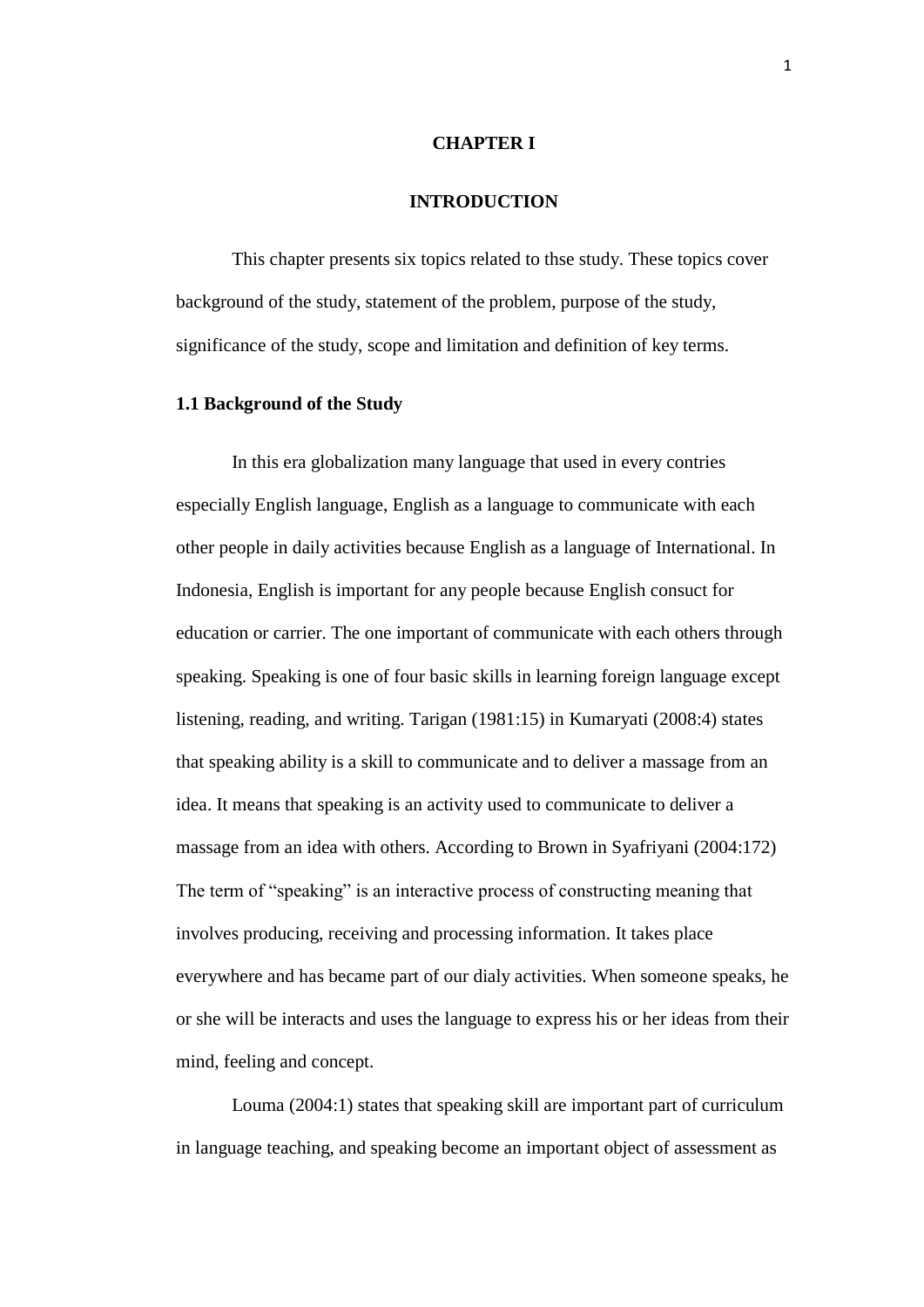## **CHAPTER I**

## **INTRODUCTION**

This chapter presents six topics related to thse study. These topics cover background of the study, statement of the problem, purpose of the study, significance of the study, scope and limitation and definition of key terms.

## **1.1 Background of the Study**

In this era globalization many language that used in every contries especially English language, English as a language to communicate with each other people in daily activities because English as a language of International. In Indonesia, English is important for any people because English consuct for education or carrier. The one important of communicate with each others through speaking. Speaking is one of four basic skills in learning foreign language except listening, reading, and writing. Tarigan (1981:15) in Kumaryati (2008:4) states that speaking ability is a skill to communicate and to deliver a massage from an idea. It means that speaking is an activity used to communicate to deliver a massage from an idea with others. According to Brown in Syafriyani (2004:172) The term of "speaking" is an interactive process of constructing meaning that involves producing, receiving and processing information. It takes place everywhere and has became part of our dialy activities. When someone speaks, he or she will be interacts and uses the language to express his or her ideas from their mind, feeling and concept.

Louma (2004:1) states that speaking skill are important part of curriculum in language teaching, and speaking become an important object of assessment as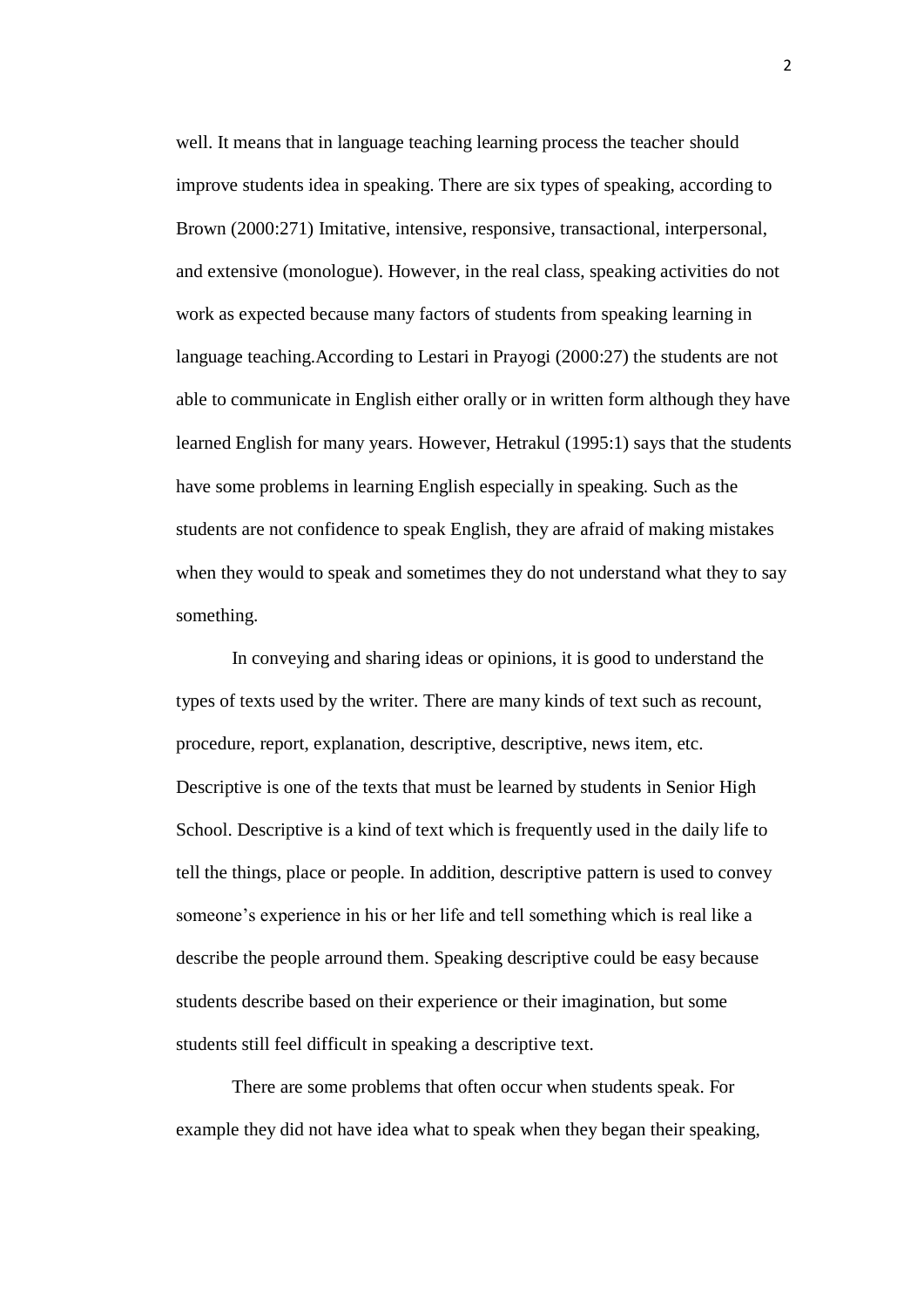well. It means that in language teaching learning process the teacher should improve students idea in speaking. There are six types of speaking, according to Brown (2000:271) Imitative, intensive, responsive, transactional, interpersonal, and extensive (monologue). However, in the real class, speaking activities do not work as expected because many factors of students from speaking learning in language teaching.According to Lestari in Prayogi (2000:27) the students are not able to communicate in English either orally or in written form although they have learned English for many years. However, Hetrakul (1995:1) says that the students have some problems in learning English especially in speaking. Such as the students are not confidence to speak English, they are afraid of making mistakes when they would to speak and sometimes they do not understand what they to say something.

In conveying and sharing ideas or opinions, it is good to understand the types of texts used by the writer. There are many kinds of text such as recount, procedure, report, explanation, descriptive, descriptive, news item, etc. Descriptive is one of the texts that must be learned by students in Senior High School. Descriptive is a kind of text which is frequently used in the daily life to tell the things, place or people. In addition, descriptive pattern is used to convey someone's experience in his or her life and tell something which is real like a describe the people arround them. Speaking descriptive could be easy because students describe based on their experience or their imagination, but some students still feel difficult in speaking a descriptive text.

There are some problems that often occur when students speak. For example they did not have idea what to speak when they began their speaking, 2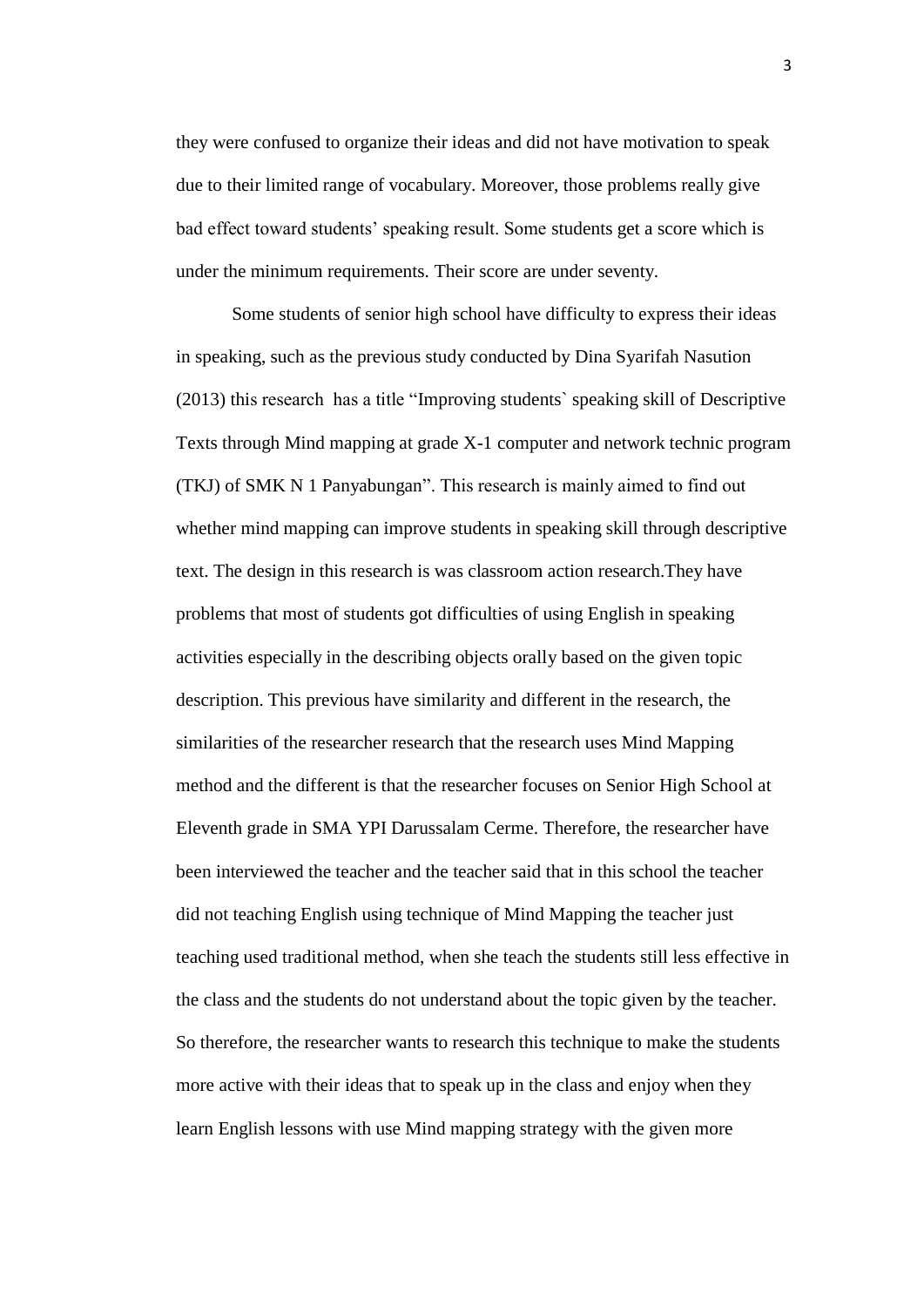they were confused to organize their ideas and did not have motivation to speak due to their limited range of vocabulary. Moreover, those problems really give bad effect toward students' speaking result. Some students get a score which is under the minimum requirements. Their score are under seventy.

Some students of senior high school have difficulty to express their ideas in speaking, such as the previous study conducted by Dina Syarifah Nasution (2013) this research has a title "Improving students` speaking skill of Descriptive Texts through Mind mapping at grade X-1 computer and network technic program (TKJ) of SMK N 1 Panyabungan". This research is mainly aimed to find out whether mind mapping can improve students in speaking skill through descriptive text. The design in this research is was classroom action research.They have problems that most of students got difficulties of using English in speaking activities especially in the describing objects orally based on the given topic description. This previous have similarity and different in the research, the similarities of the researcher research that the research uses Mind Mapping method and the different is that the researcher focuses on Senior High School at Eleventh grade in SMA YPI Darussalam Cerme. Therefore, the researcher have been interviewed the teacher and the teacher said that in this school the teacher did not teaching English using technique of Mind Mapping the teacher just teaching used traditional method, when she teach the students still less effective in the class and the students do not understand about the topic given by the teacher. So therefore, the researcher wants to research this technique to make the students more active with their ideas that to speak up in the class and enjoy when they learn English lessons with use Mind mapping strategy with the given more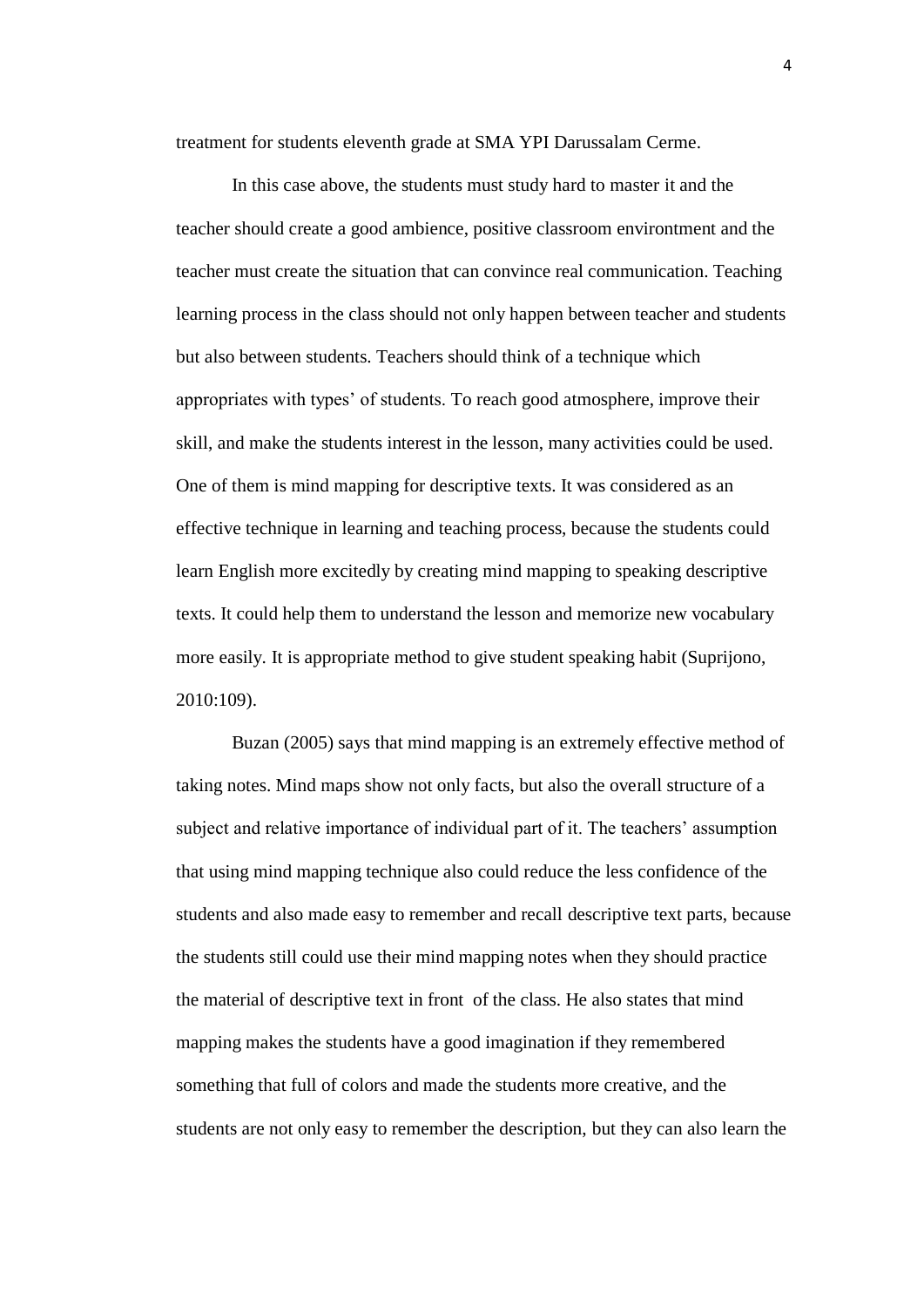treatment for students eleventh grade at SMA YPI Darussalam Cerme.

In this case above, the students must study hard to master it and the teacher should create a good ambience, positive classroom environtment and the teacher must create the situation that can convince real communication. Teaching learning process in the class should not only happen between teacher and students but also between students. Teachers should think of a technique which appropriates with types' of students. To reach good atmosphere, improve their skill, and make the students interest in the lesson, many activities could be used. One of them is mind mapping for descriptive texts. It was considered as an effective technique in learning and teaching process, because the students could learn English more excitedly by creating mind mapping to speaking descriptive texts. It could help them to understand the lesson and memorize new vocabulary more easily. It is appropriate method to give student speaking habit (Suprijono, 2010:109).

Buzan (2005) says that mind mapping is an extremely effective method of taking notes. Mind maps show not only facts, but also the overall structure of a subject and relative importance of individual part of it. The teachers' assumption that using mind mapping technique also could reduce the less confidence of the students and also made easy to remember and recall descriptive text parts, because the students still could use their mind mapping notes when they should practice the material of descriptive text in front of the class. He also states that mind mapping makes the students have a good imagination if they remembered something that full of colors and made the students more creative, and the students are not only easy to remember the description, but they can also learn the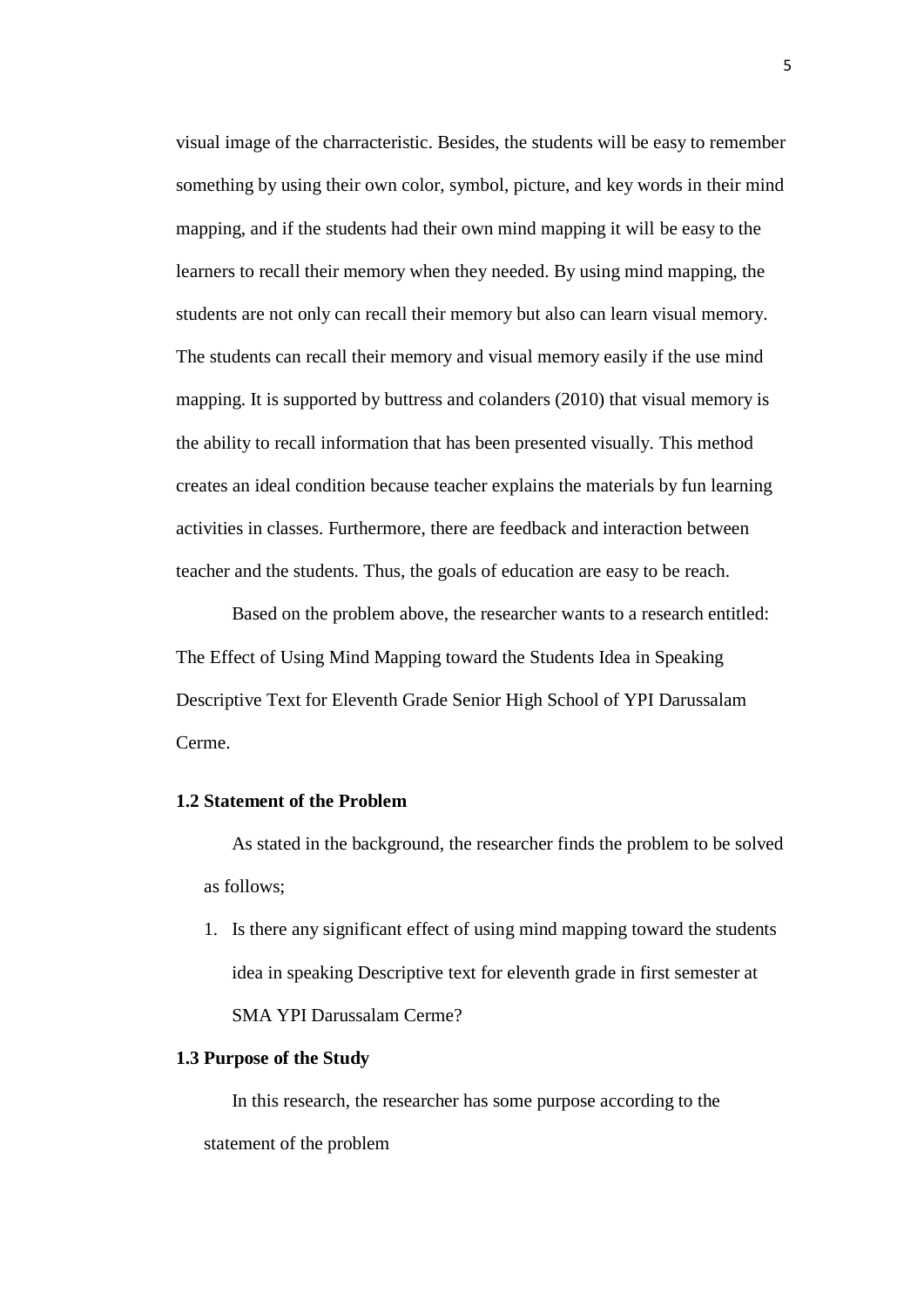visual image of the charracteristic. Besides, the students will be easy to remember something by using their own color, symbol, picture, and key words in their mind mapping, and if the students had their own mind mapping it will be easy to the learners to recall their memory when they needed. By using mind mapping, the students are not only can recall their memory but also can learn visual memory. The students can recall their memory and visual memory easily if the use mind mapping. It is supported by buttress and colanders (2010) that visual memory is the ability to recall information that has been presented visually. This method creates an ideal condition because teacher explains the materials by fun learning activities in classes. Furthermore, there are feedback and interaction between teacher and the students. Thus, the goals of education are easy to be reach.

Based on the problem above, the researcher wants to a research entitled: The Effect of Using Mind Mapping toward the Students Idea in Speaking Descriptive Text for Eleventh Grade Senior High School of YPI Darussalam Cerme.

#### **1.2 Statement of the Problem**

As stated in the background, the researcher finds the problem to be solved as follows;

1. Is there any significant effect of using mind mapping toward the students idea in speaking Descriptive text for eleventh grade in first semester at SMA YPI Darussalam Cerme?

## **1.3 Purpose of the Study**

In this research, the researcher has some purpose according to the statement of the problem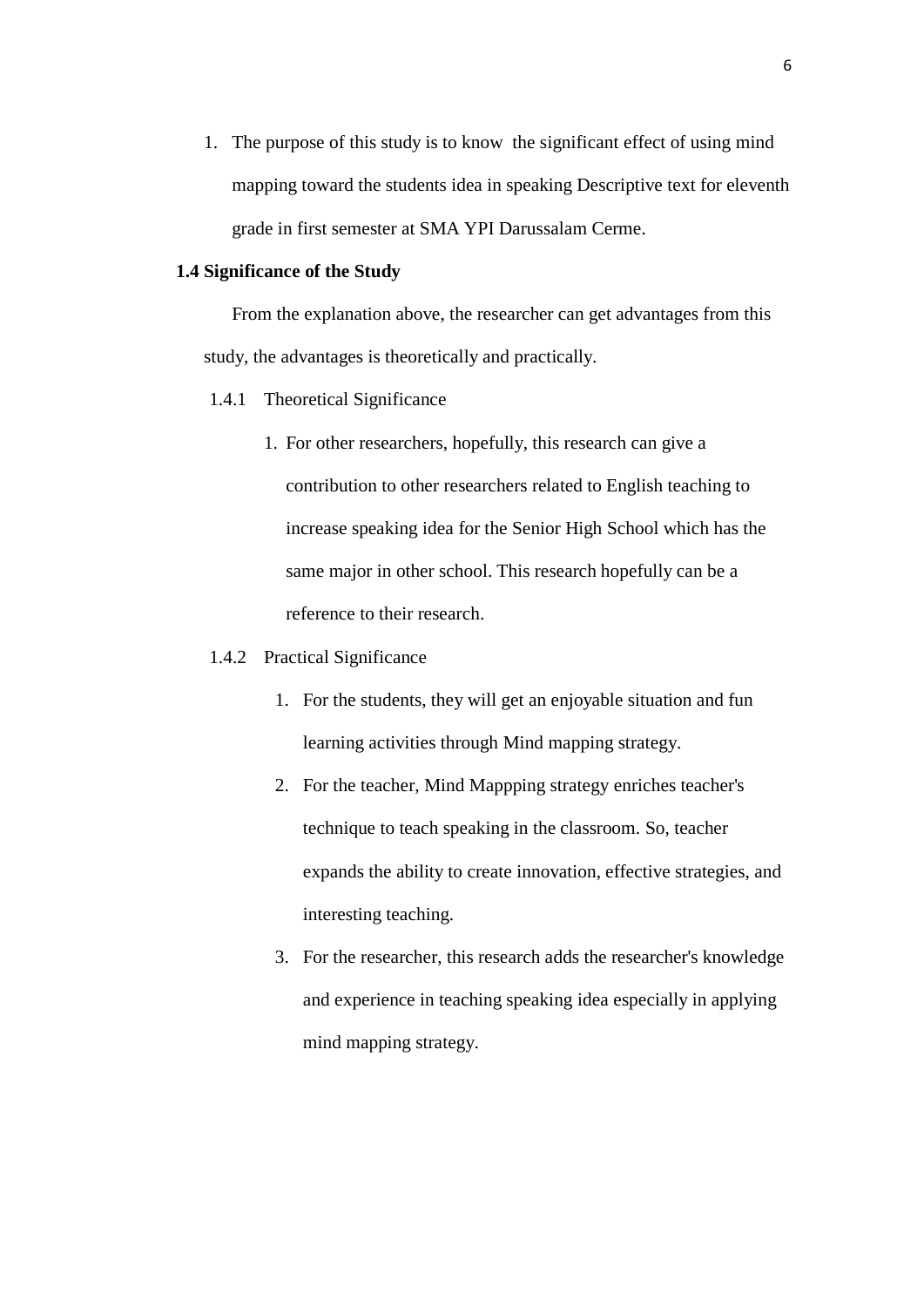1. The purpose of this study is to know the significant effect of using mind mapping toward the students idea in speaking Descriptive text for eleventh grade in first semester at SMA YPI Darussalam Cerme.

# **1.4 Significance of the Study**

From the explanation above, the researcher can get advantages from this study, the advantages is theoretically and practically.

- 1.4.1 Theoretical Significance
	- 1. For other researchers, hopefully, this research can give a contribution to other researchers related to English teaching to increase speaking idea for the Senior High School which has the same major in other school. This research hopefully can be a reference to their research.
- 1.4.2 Practical Significance
	- 1. For the students, they will get an enjoyable situation and fun learning activities through Mind mapping strategy.
	- 2. For the teacher, Mind Mappping strategy enriches teacher's technique to teach speaking in the classroom. So, teacher expands the ability to create innovation, effective strategies, and interesting teaching.
	- 3. For the researcher, this research adds the researcher's knowledge and experience in teaching speaking idea especially in applying mind mapping strategy.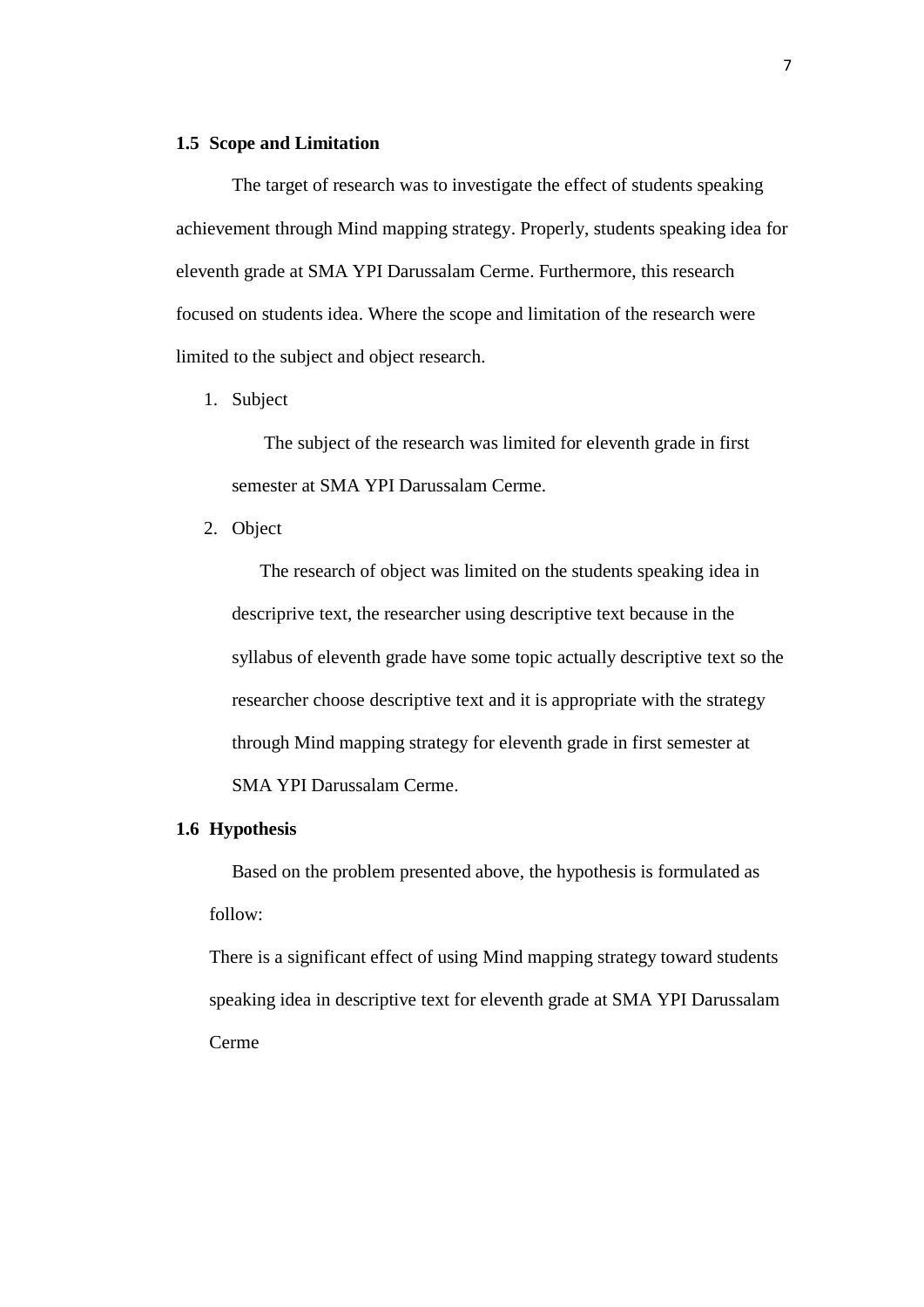### **1.5 Scope and Limitation**

The target of research was to investigate the effect of students speaking achievement through Mind mapping strategy. Properly, students speaking idea for eleventh grade at SMA YPI Darussalam Cerme. Furthermore, this research focused on students idea. Where the scope and limitation of the research were limited to the subject and object research.

1. Subject

The subject of the research was limited for eleventh grade in first semester at SMA YPI Darussalam Cerme.

2. Object

The research of object was limited on the students speaking idea in descriprive text, the researcher using descriptive text because in the syllabus of eleventh grade have some topic actually descriptive text so the researcher choose descriptive text and it is appropriate with the strategy through Mind mapping strategy for eleventh grade in first semester at SMA YPI Darussalam Cerme.

## **1.6 Hypothesis**

Based on the problem presented above, the hypothesis is formulated as follow:

There is a significant effect of using Mind mapping strategy toward students speaking idea in descriptive text for eleventh grade at SMA YPI Darussalam Cerme